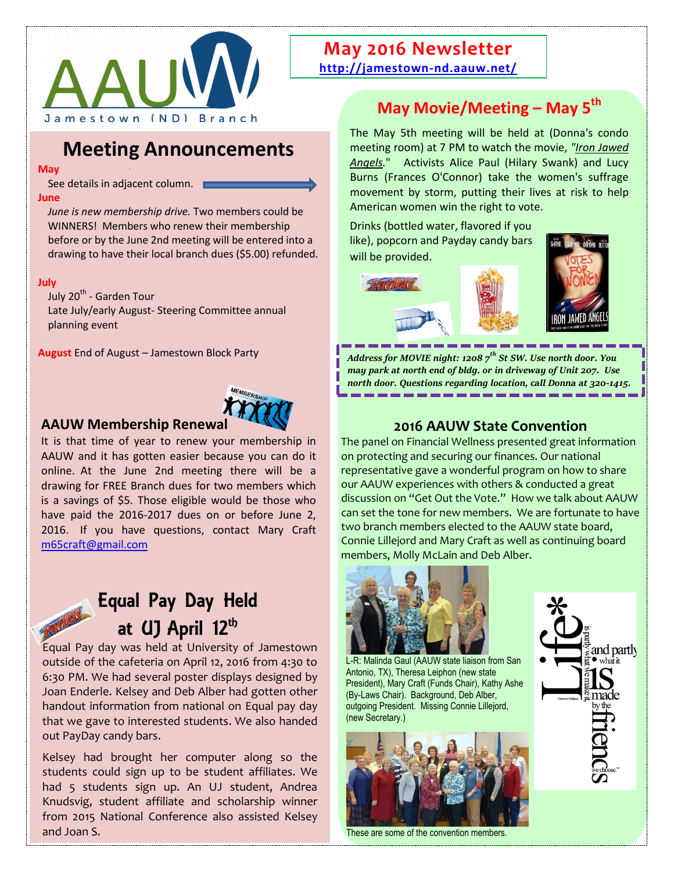

## **Meeting Announcements**

**May**

See details in adjacent column. **June** 

*June is new membership drive.* Two members could be WINNERS! Members who renew their membership before or by the June 2nd meeting will be entered into a drawing to have their local branch dues (\$5.00) refunded.

#### **July**

July 20<sup>th</sup> - Garden Tour Late July/early August- Steering Committee annual planning event

**August** End of August – Jamestown Block Party



#### **AAUW Membership Renewal**

It is that time of year to renew your membership in AAUW and it has gotten easier because you can do it online. At the June 2nd meeting there will be a drawing for FREE Branch dues for two members which is a savings of \$5. Those eligible would be those who have paid the 2016-2017 dues on or before June 2, 2016. If you have questions, contact Mary Craft [m65craft@gmail.com](mailto:m65craft@gmail.com)

# Equal Pay Day Held at (I) April 12<sup>th</sup>

Equal Pay day was held at University of Jamestown outside of the cafeteria on April 12, 2016 from 4:30 to 6:30 PM. We had several poster displays designed by Joan Enderle. Kelsey and Deb Alber had gotten other handout information from national on Equal pay day that we gave to interested students. We also handed out PayDay candy bars.

Kelsey had brought her computer along so the students could sign up to be student affiliates. We had 5 students sign up. An UJ student, Andrea Knudsvig, student affiliate and scholarship winner from 2015 National Conference also assisted Kelsey and Joan S.

### **May 2016 Newsletter <http://jamestown-nd.aauw.net/>**

## **May Movie/Meeting – May 5th**

The May 5th meeting will be held at (Donna's condo meeting room) at 7 PM to watch the movie, *"Iron Jawed Angels.*" Activists Alice Paul (Hilary Swank) and Lucy Burns (Frances O'Connor) take the women's suffrage movement by storm, putting their lives at risk to help American women win the right to vote.

Drinks (bottled water, flavored if you like), popcorn and Payday candy bars will be provided.

THAY VEN



*Address for MOVIE night: 1208 7th St SW. Use north door. You may park at north end of bldg. or in driveway of Unit 207. Use north door. Questions regarding location, call Donna at 320-1415.*

### **2016 AAUW State Convention**

The panel on Financial Wellness presented great information on protecting and securing our finances. Our national representative gave a wonderful program on how to share our AAUW experiences with others & conducted a great discussion on "Get Out the Vote." How we talk about AAUW can set the tone for new members. We are fortunate to have two branch members elected to the AAUW state board, Connie Lillejord and Mary Craft as well as continuing board members, Molly McLain and Deb Alber.



L-R: Malinda Gaul (AAUW state liaison from San Antonio, TX), Theresa Leiphon (new state President), Mary Craft (Funds Chair), Kathy Ashe (By-Laws Chair). Background, Deb Alber, outgoing President. Missing Connie Lillejord, (new Secretary.)



These are some of the convention members.